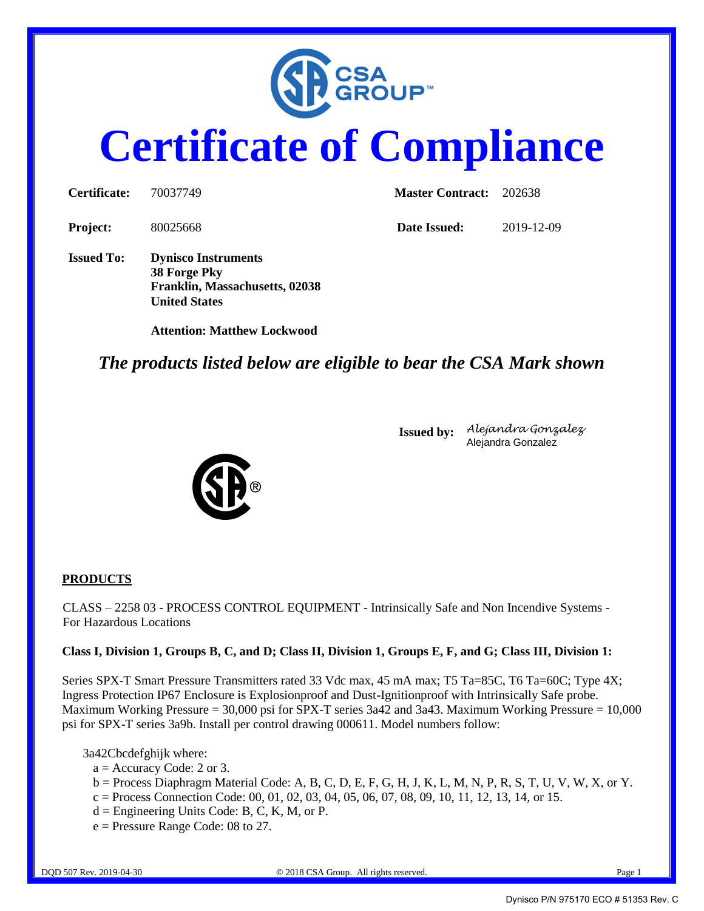

# **Certificate of Compliance**

| Certificate:      | 70037749                                                                                             | <b>Master Contract:</b> | 202638     |
|-------------------|------------------------------------------------------------------------------------------------------|-------------------------|------------|
| Project:          | 80025668                                                                                             | Date Issued:            | 2019-12-09 |
| <b>Issued To:</b> | <b>Dynisco Instruments</b><br>38 Forge Pky<br>Franklin, Massachusetts, 02038<br><b>United States</b> |                         |            |

*The products listed below are eligible to bear the CSA Mark shown*



**Attention: Matthew Lockwood**

**Issued by:** *Alejandra Gonzalez* Alejandra Gonzalez

#### **PRODUCTS**

CLASS – 2258 03 - PROCESS CONTROL EQUIPMENT - Intrinsically Safe and Non Incendive Systems - For Hazardous Locations

#### **Class I, Division 1, Groups B, C, and D; Class II, Division 1, Groups E, F, and G; Class III, Division 1:**

Series SPX-T Smart Pressure Transmitters rated 33 Vdc max, 45 mA max; T5 Ta=85C, T6 Ta=60C; Type 4X; Ingress Protection IP67 Enclosure is Explosionproof and Dust-Ignitionproof with Intrinsically Safe probe. Maximum Working Pressure = 30,000 psi for SPX-T series 3a42 and 3a43. Maximum Working Pressure =  $10,000$ psi for SPX-T series 3a9b. Install per control drawing 000611. Model numbers follow:

3a42Cbcdefghijk where:

- $a =$  Accuracy Code: 2 or 3.
- $b =$  Process Diaphragm Material Code: A, B, C, D, E, F, G, H, J, K, L, M, N, P, R, S, T, U, V, W, X, or Y.
- $c =$  Process Connection Code: 00, 01, 02, 03, 04, 05, 06, 07, 08, 09, 10, 11, 12, 13, 14, or 15.
- $d =$  Engineering Units Code: B, C, K, M, or P.
- e = Pressure Range Code: 08 to 27.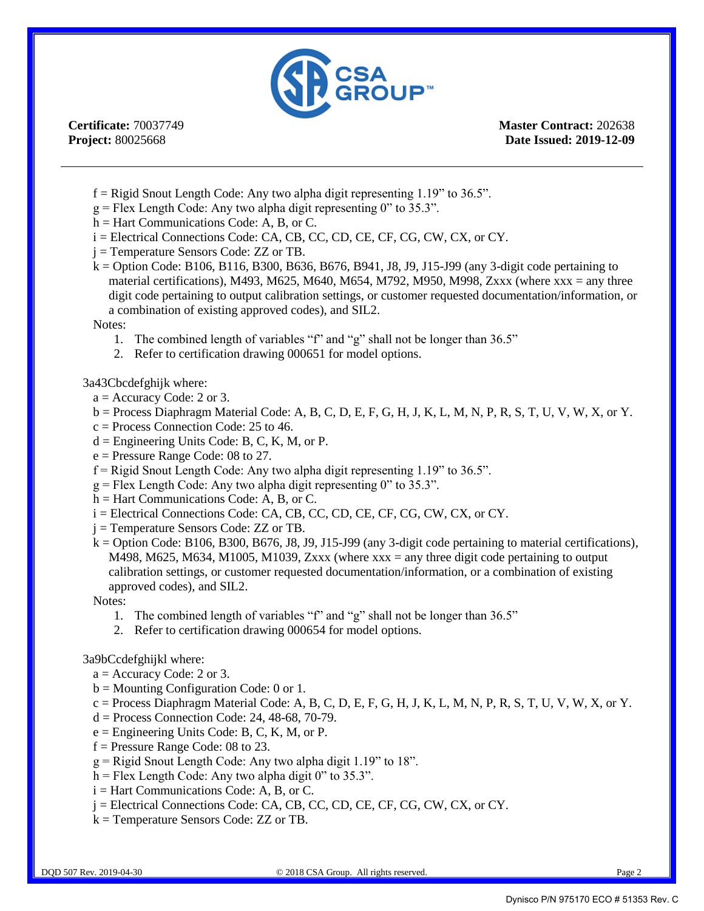

**Certificate:** 70037749 **Project:** 80025668

**Master Contract:** 202638 **Date Issued: 2019-12-09**

- $f =$ Rigid Snout Length Code: Any two alpha digit representing 1.19" to 36.5".
- $g =$  Flex Length Code: Any two alpha digit representing 0" to 35.3".
- h = Hart Communications Code: A, B, or C.
- i = Electrical Connections Code: CA, CB, CC, CD, CE, CF, CG, CW, CX, or CY.
- j = Temperature Sensors Code: ZZ or TB.
- k = Option Code: B106, B116, B300, B636, B676, B941, J8, J9, J15-J99 (any 3-digit code pertaining to material certifications), M493, M625, M640, M654, M792, M950, M998, Zxxx (where xxx = any three digit code pertaining to output calibration settings, or customer requested documentation/information, or a combination of existing approved codes), and SIL2.

#### Notes:

- 1. The combined length of variables "f" and "g" shall not be longer than 36.5"
- 2. Refer to certification drawing 000651 for model options.

#### 3a43Cbcdefghijk where:

- $a =$  Accuracy Code: 2 or 3.
- $b =$  Process Diaphragm Material Code: A, B, C, D, E, F, G, H, J, K, L, M, N, P, R, S, T, U, V, W, X, or Y.
- $c = Process Connection Code: 25 to 46.$
- $d =$  Engineering Units Code: B, C, K, M, or P.
- e = Pressure Range Code: 08 to 27.
- $f =$ Rigid Snout Length Code: Any two alpha digit representing 1.19" to 36.5".
- $g =$  Flex Length Code: Any two alpha digit representing 0" to 35.3".
- h = Hart Communications Code: A, B, or C.
- i = Electrical Connections Code: CA, CB, CC, CD, CE, CF, CG, CW, CX, or CY.
- j = Temperature Sensors Code: ZZ or TB.
- $k =$  Option Code: B106, B300, B676, J8, J9, J15-J99 (any 3-digit code pertaining to material certifications), M498, M625, M634, M1005, M1039, Zxxx (where  $xxx = any$  three digit code pertaining to output calibration settings, or customer requested documentation/information, or a combination of existing approved codes), and SIL2.

Notes:

- 1. The combined length of variables "f" and "g" shall not be longer than 36.5"
- 2. Refer to certification drawing 000654 for model options.

#### 3a9bCcdefghijkl where:

- $a =$  Accuracy Code: 2 or 3.
- b = Mounting Configuration Code: 0 or 1.
- $c =$  Process Diaphragm Material Code: A, B, C, D, E, F, G, H, J, K, L, M, N, P, R, S, T, U, V, W, X, or Y.
- $d = Process Connection Code: 24, 48-68, 70-79.$
- $e =$  Engineering Units Code: B, C, K, M, or P.
- f = Pressure Range Code: 08 to 23.
- $g =$ Rigid Snout Length Code: Any two alpha digit 1.19" to 18".
- $h$  = Flex Length Code: Any two alpha digit 0" to 35.3".
- i = Hart Communications Code: A, B, or C.
- j = Electrical Connections Code: CA, CB, CC, CD, CE, CF, CG, CW, CX, or CY.
- k = Temperature Sensors Code: ZZ or TB.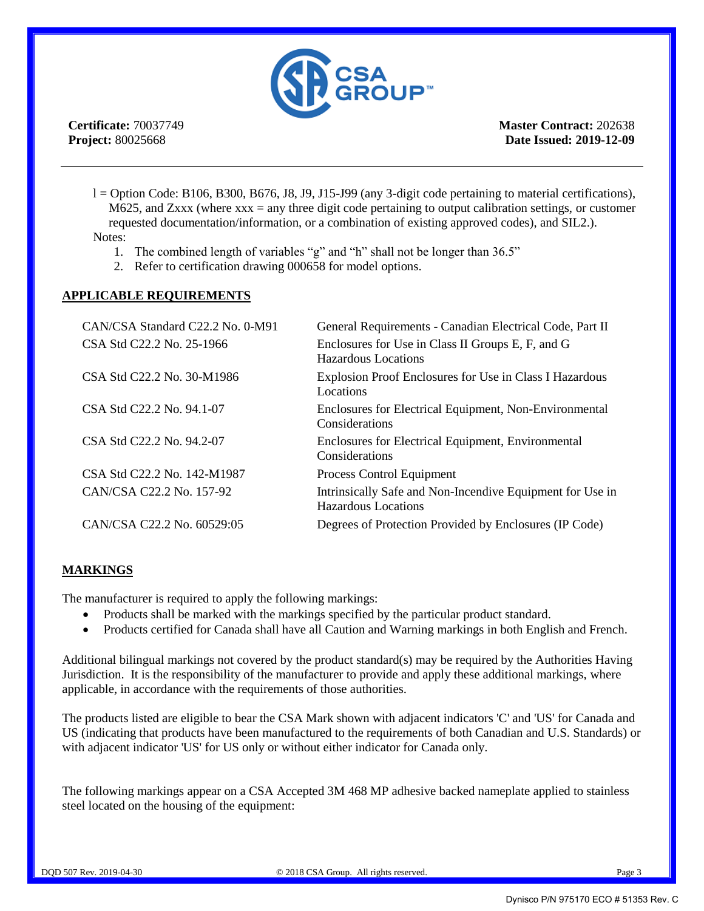

**Certificate:** 70037749 **Project:** 80025668

**Master Contract:** 202638 **Date Issued: 2019-12-09**

- $l =$  Option Code: B106, B300, B676, J8, J9, J15-J99 (any 3-digit code pertaining to material certifications), M625, and Zxxx (where  $xxx = any$  three digit code pertaining to output calibration settings, or customer requested documentation/information, or a combination of existing approved codes), and SIL2.). Notes:
	- 1. The combined length of variables "g" and "h" shall not be longer than 36.5"
	- 2. Refer to certification drawing 000658 for model options.

#### **APPLICABLE REQUIREMENTS**

| CAN/CSA Standard C22.2 No. 0-M91 | General Requirements - Canadian Electrical Code, Part II                         |
|----------------------------------|----------------------------------------------------------------------------------|
| CSA Std C22.2 No. 25-1966        | Enclosures for Use in Class II Groups E, F, and G<br>Hazardous Locations         |
| CSA Std C22.2 No. 30-M1986       | Explosion Proof Enclosures for Use in Class I Hazardous<br>Locations             |
| CSA Std C22.2 No. 94.1-07        | Enclosures for Electrical Equipment, Non-Environmental<br>Considerations         |
| CSA Std C22.2 No. 94.2-07        | Enclosures for Electrical Equipment, Environmental<br>Considerations             |
| CSA Std C22.2 No. 142-M1987      | Process Control Equipment                                                        |
| CAN/CSA C22.2 No. 157-92         | Intrinsically Safe and Non-Incendive Equipment for Use in<br>Hazardous Locations |
| CAN/CSA C22.2 No. 60529:05       | Degrees of Protection Provided by Enclosures (IP Code)                           |

#### **MARKINGS**

The manufacturer is required to apply the following markings:

- Products shall be marked with the markings specified by the particular product standard.
- Products certified for Canada shall have all Caution and Warning markings in both English and French.

Additional bilingual markings not covered by the product standard(s) may be required by the Authorities Having Jurisdiction. It is the responsibility of the manufacturer to provide and apply these additional markings, where applicable, in accordance with the requirements of those authorities.

The products listed are eligible to bear the CSA Mark shown with adjacent indicators 'C' and 'US' for Canada and US (indicating that products have been manufactured to the requirements of both Canadian and U.S. Standards) or with adjacent indicator 'US' for US only or without either indicator for Canada only.

The following markings appear on a CSA Accepted 3M 468 MP adhesive backed nameplate applied to stainless steel located on the housing of the equipment: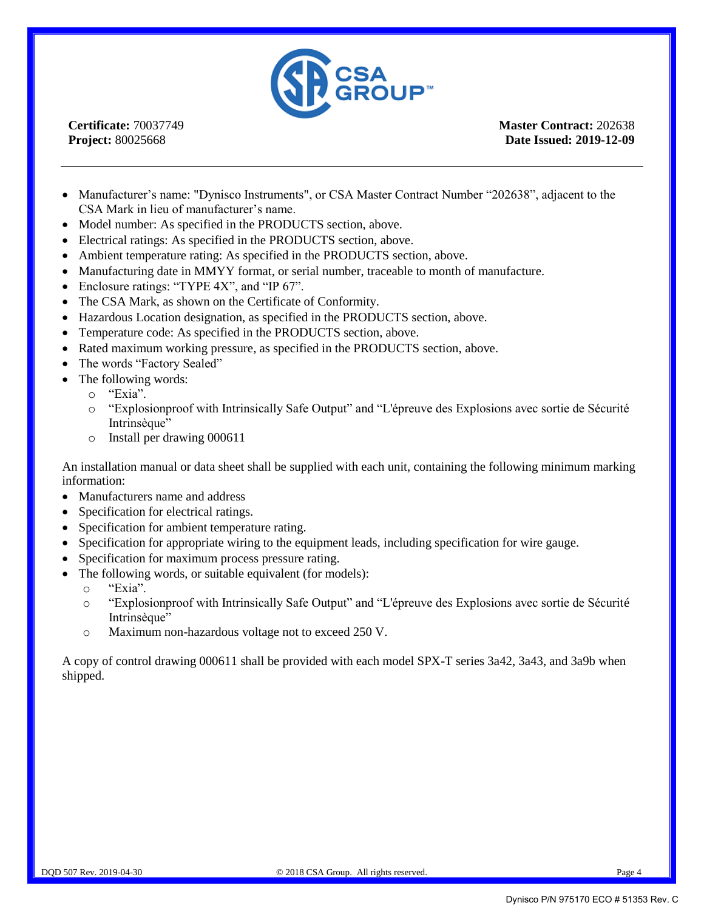

**Certificate:** 70037749 **Project:** 80025668

**Master Contract:** 202638 **Date Issued: 2019-12-09**

- Manufacturer's name: "Dynisco Instruments", or CSA Master Contract Number "202638", adjacent to the CSA Mark in lieu of manufacturer's name.
- Model number: As specified in the PRODUCTS section, above.
- Electrical ratings: As specified in the PRODUCTS section, above.
- Ambient temperature rating: As specified in the PRODUCTS section, above.
- Manufacturing date in MMYY format, or serial number, traceable to month of manufacture.
- Enclosure ratings: "TYPE 4X", and "IP 67".
- The CSA Mark, as shown on the Certificate of Conformity.
- Hazardous Location designation, as specified in the PRODUCTS section, above.
- Temperature code: As specified in the PRODUCTS section, above.
- Rated maximum working pressure, as specified in the PRODUCTS section, above.
- The words "Factory Sealed"
- The following words:
	- o "Exia".
	- o "Explosionproof with Intrinsically Safe Output" and "L'épreuve des Explosions avec sortie de Sécurité Intrinsèque"
	- o Install per drawing 000611

An installation manual or data sheet shall be supplied with each unit, containing the following minimum marking information:

- Manufacturers name and address
- Specification for electrical ratings.
- Specification for ambient temperature rating.
- Specification for appropriate wiring to the equipment leads, including specification for wire gauge.
- Specification for maximum process pressure rating.
- The following words, or suitable equivalent (for models):
	- o "Exia".
	- o "Explosionproof with Intrinsically Safe Output" and "L'épreuve des Explosions avec sortie de Sécurité Intrinsèque"
	- o Maximum non-hazardous voltage not to exceed 250 V.

A copy of control drawing 000611 shall be provided with each model SPX-T series 3a42, 3a43, and 3a9b when shipped.